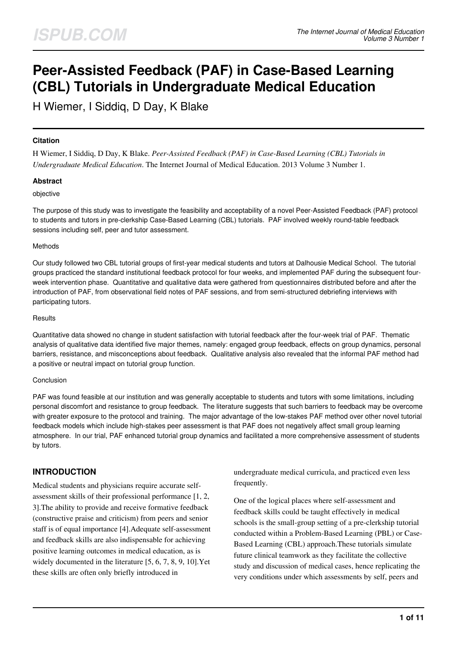# **Peer-Assisted Feedback (PAF) in Case-Based Learning (CBL) Tutorials in Undergraduate Medical Education**

H Wiemer, I Siddiq, D Day, K Blake

#### **Citation**

H Wiemer, I Siddiq, D Day, K Blake. *Peer-Assisted Feedback (PAF) in Case-Based Learning (CBL) Tutorials in Undergraduate Medical Education*. The Internet Journal of Medical Education. 2013 Volume 3 Number 1.

#### **Abstract**

#### objective

The purpose of this study was to investigate the feasibility and acceptability of a novel Peer-Assisted Feedback (PAF) protocol to students and tutors in pre-clerkship Case-Based Learning (CBL) tutorials. PAF involved weekly round-table feedback sessions including self, peer and tutor assessment.

#### Methods

Our study followed two CBL tutorial groups of first-year medical students and tutors at Dalhousie Medical School. The tutorial groups practiced the standard institutional feedback protocol for four weeks, and implemented PAF during the subsequent fourweek intervention phase. Quantitative and qualitative data were gathered from questionnaires distributed before and after the introduction of PAF, from observational field notes of PAF sessions, and from semi-structured debriefing interviews with participating tutors.

#### **Results**

Quantitative data showed no change in student satisfaction with tutorial feedback after the four-week trial of PAF. Thematic analysis of qualitative data identified five major themes, namely: engaged group feedback, effects on group dynamics, personal barriers, resistance, and misconceptions about feedback. Qualitative analysis also revealed that the informal PAF method had a positive or neutral impact on tutorial group function.

#### Conclusion

PAF was found feasible at our institution and was generally acceptable to students and tutors with some limitations, including personal discomfort and resistance to group feedback. The literature suggests that such barriers to feedback may be overcome with greater exposure to the protocol and training. The major advantage of the low-stakes PAF method over other novel tutorial feedback models which include high-stakes peer assessment is that PAF does not negatively affect small group learning atmosphere. In our trial, PAF enhanced tutorial group dynamics and facilitated a more comprehensive assessment of students by tutors.

# **INTRODUCTION**

Medical students and physicians require accurate selfassessment skills of their professional performance [1, 2, 3].The ability to provide and receive formative feedback (constructive praise and criticism) from peers and senior staff is of equal importance [4].Adequate self-assessment and feedback skills are also indispensable for achieving positive learning outcomes in medical education, as is widely documented in the literature [5, 6, 7, 8, 9, 10].Yet these skills are often only briefly introduced in

undergraduate medical curricula, and practiced even less frequently.

One of the logical places where self-assessment and feedback skills could be taught effectively in medical schools is the small-group setting of a pre-clerkship tutorial conducted within a Problem-Based Learning (PBL) or Case-Based Learning (CBL) approach.These tutorials simulate future clinical teamwork as they facilitate the collective study and discussion of medical cases, hence replicating the very conditions under which assessments by self, peers and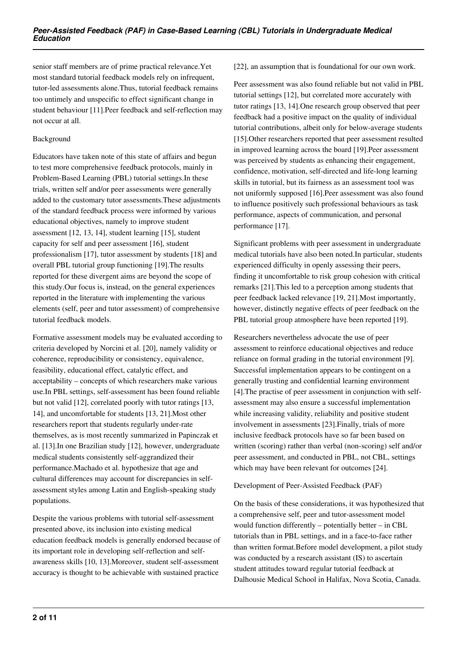senior staff members are of prime practical relevance.Yet most standard tutorial feedback models rely on infrequent, tutor-led assessments alone.Thus, tutorial feedback remains too untimely and unspecific to effect significant change in student behaviour [11].Peer feedback and self-reflection may not occur at all.

#### Background

Educators have taken note of this state of affairs and begun to test more comprehensive feedback protocols, mainly in Problem-Based Learning (PBL) tutorial settings.In these trials, written self and/or peer assessments were generally added to the customary tutor assessments.These adjustments of the standard feedback process were informed by various educational objectives, namely to improve student assessment [12, 13, 14], student learning [15], student capacity for self and peer assessment [16], student professionalism [17], tutor assessment by students [18] and overall PBL tutorial group functioning [19].The results reported for these divergent aims are beyond the scope of this study.Our focus is, instead, on the general experiences reported in the literature with implementing the various elements (self, peer and tutor assessment) of comprehensive tutorial feedback models.

Formative assessment models may be evaluated according to criteria developed by Norcini et al. [20], namely validity or coherence, reproducibility or consistency, equivalence, feasibility, educational effect, catalytic effect, and acceptability – concepts of which researchers make various use.In PBL settings, self-assessment has been found reliable but not valid [12], correlated poorly with tutor ratings [13, 14], and uncomfortable for students [13, 21].Most other researchers report that students regularly under-rate themselves, as is most recently summarized in Papinczak et al. [13].In one Brazilian study [12], however, undergraduate medical students consistently self-aggrandized their performance.Machado et al. hypothesize that age and cultural differences may account for discrepancies in selfassessment styles among Latin and English-speaking study populations.

Despite the various problems with tutorial self-assessment presented above, its inclusion into existing medical education feedback models is generally endorsed because of its important role in developing self-reflection and selfawareness skills [10, 13].Moreover, student self-assessment accuracy is thought to be achievable with sustained practice

[22], an assumption that is foundational for our own work.

Peer assessment was also found reliable but not valid in PBL tutorial settings [12], but correlated more accurately with tutor ratings [13, 14].One research group observed that peer feedback had a positive impact on the quality of individual tutorial contributions, albeit only for below-average students [15].Other researchers reported that peer assessment resulted in improved learning across the board [19].Peer assessment was perceived by students as enhancing their engagement, confidence, motivation, self-directed and life-long learning skills in tutorial, but its fairness as an assessment tool was not uniformly supposed [16].Peer assessment was also found to influence positively such professional behaviours as task performance, aspects of communication, and personal performance [17].

Significant problems with peer assessment in undergraduate medical tutorials have also been noted.In particular, students experienced difficulty in openly assessing their peers, finding it uncomfortable to risk group cohesion with critical remarks [21].This led to a perception among students that peer feedback lacked relevance [19, 21].Most importantly, however, distinctly negative effects of peer feedback on the PBL tutorial group atmosphere have been reported [19].

Researchers nevertheless advocate the use of peer assessment to reinforce educational objectives and reduce reliance on formal grading in the tutorial environment [9]. Successful implementation appears to be contingent on a generally trusting and confidential learning environment [4].The practise of peer assessment in conjunction with selfassessment may also ensure a successful implementation while increasing validity, reliability and positive student involvement in assessments [23].Finally, trials of more inclusive feedback protocols have so far been based on written (scoring) rather than verbal (non-scoring) self and/or peer assessment, and conducted in PBL, not CBL, settings which may have been relevant for outcomes [24].

#### Development of Peer-Assisted Feedback (PAF)

On the basis of these considerations, it was hypothesized that a comprehensive self, peer and tutor-assessment model would function differently – potentially better – in CBL tutorials than in PBL settings, and in a face-to-face rather than written format.Before model development, a pilot study was conducted by a research assistant (IS) to ascertain student attitudes toward regular tutorial feedback at Dalhousie Medical School in Halifax, Nova Scotia, Canada.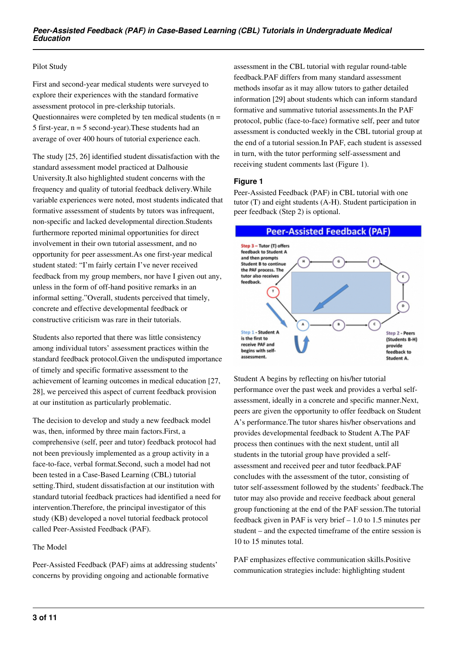#### Pilot Study

First and second-year medical students were surveyed to explore their experiences with the standard formative assessment protocol in pre-clerkship tutorials. Questionnaires were completed by ten medical students ( $n =$ 5 first-year, n = 5 second-year).These students had an average of over 400 hours of tutorial experience each.

The study [25, 26] identified student dissatisfaction with the standard assessment model practiced at Dalhousie University.It also highlighted student concerns with the frequency and quality of tutorial feedback delivery.While variable experiences were noted, most students indicated that formative assessment of students by tutors was infrequent, non-specific and lacked developmental direction.Students furthermore reported minimal opportunities for direct involvement in their own tutorial assessment, and no opportunity for peer assessment.As one first-year medical student stated: "I'm fairly certain I've never received feedback from my group members, nor have I given out any, unless in the form of off-hand positive remarks in an informal setting."Overall, students perceived that timely, concrete and effective developmental feedback or constructive criticism was rare in their tutorials.

Students also reported that there was little consistency among individual tutors' assessment practices within the standard feedback protocol.Given the undisputed importance of timely and specific formative assessment to the achievement of learning outcomes in medical education [27, 28], we perceived this aspect of current feedback provision at our institution as particularly problematic.

The decision to develop and study a new feedback model was, then, informed by three main factors.First, a comprehensive (self, peer and tutor) feedback protocol had not been previously implemented as a group activity in a face-to-face, verbal format.Second, such a model had not been tested in a Case-Based Learning (CBL) tutorial setting.Third, student dissatisfaction at our institution with standard tutorial feedback practices had identified a need for intervention.Therefore, the principal investigator of this study (KB) developed a novel tutorial feedback protocol called Peer-Assisted Feedback (PAF).

#### The Model

Peer-Assisted Feedback (PAF) aims at addressing students' concerns by providing ongoing and actionable formative

assessment in the CBL tutorial with regular round-table feedback.PAF differs from many standard assessment methods insofar as it may allow tutors to gather detailed information [29] about students which can inform standard formative and summative tutorial assessments.In the PAF protocol, public (face-to-face) formative self, peer and tutor assessment is conducted weekly in the CBL tutorial group at the end of a tutorial session.In PAF, each student is assessed in turn, with the tutor performing self-assessment and receiving student comments last (Figure 1).

#### **Figure 1**

Peer-Assisted Feedback (PAF) in CBL tutorial with one tutor (T) and eight students (A-H). Student participation in peer feedback (Step 2) is optional.



Student A begins by reflecting on his/her tutorial performance over the past week and provides a verbal selfassessment, ideally in a concrete and specific manner.Next, peers are given the opportunity to offer feedback on Student A's performance.The tutor shares his/her observations and provides developmental feedback to Student A.The PAF process then continues with the next student, until all students in the tutorial group have provided a selfassessment and received peer and tutor feedback.PAF concludes with the assessment of the tutor, consisting of tutor self-assessment followed by the students' feedback.The tutor may also provide and receive feedback about general group functioning at the end of the PAF session.The tutorial feedback given in PAF is very brief – 1.0 to 1.5 minutes per student – and the expected timeframe of the entire session is 10 to 15 minutes total.

PAF emphasizes effective communication skills.Positive communication strategies include: highlighting student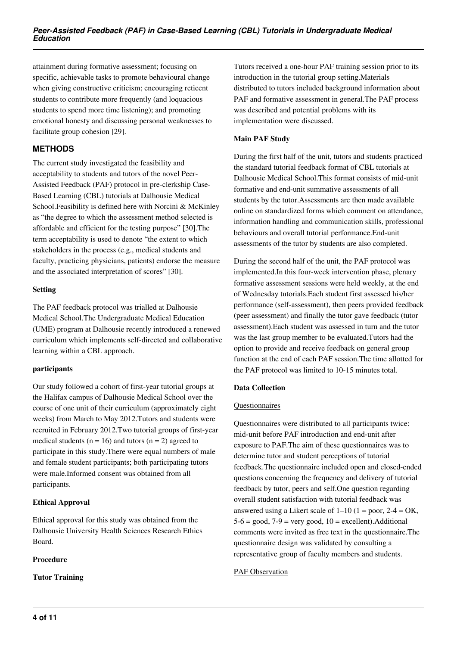attainment during formative assessment; focusing on specific, achievable tasks to promote behavioural change when giving constructive criticism; encouraging reticent students to contribute more frequently (and loquacious students to spend more time listening); and promoting emotional honesty and discussing personal weaknesses to facilitate group cohesion [29].

# **METHODS**

The current study investigated the feasibility and acceptability to students and tutors of the novel Peer-Assisted Feedback (PAF) protocol in pre-clerkship Case-Based Learning (CBL) tutorials at Dalhousie Medical School.Feasibility is defined here with Norcini & McKinley as "the degree to which the assessment method selected is affordable and efficient for the testing purpose" [30].The term acceptability is used to denote "the extent to which stakeholders in the process (e.g., medical students and faculty, practicing physicians, patients) endorse the measure and the associated interpretation of scores" [30].

#### **Setting**

The PAF feedback protocol was trialled at Dalhousie Medical School.The Undergraduate Medical Education (UME) program at Dalhousie recently introduced a renewed curriculum which implements self-directed and collaborative learning within a CBL approach.

## **participants**

Our study followed a cohort of first-year tutorial groups at the Halifax campus of Dalhousie Medical School over the course of one unit of their curriculum (approximately eight weeks) from March to May 2012.Tutors and students were recruited in February 2012.Two tutorial groups of first-year medical students ( $n = 16$ ) and tutors ( $n = 2$ ) agreed to participate in this study.There were equal numbers of male and female student participants; both participating tutors were male.Informed consent was obtained from all participants.

## **Ethical Approval**

Ethical approval for this study was obtained from the Dalhousie University Health Sciences Research Ethics Board.

## **Procedure**

**Tutor Training**

Tutors received a one-hour PAF training session prior to its introduction in the tutorial group setting.Materials distributed to tutors included background information about PAF and formative assessment in general.The PAF process was described and potential problems with its implementation were discussed.

#### **Main PAF Study**

During the first half of the unit, tutors and students practiced the standard tutorial feedback format of CBL tutorials at Dalhousie Medical School.This format consists of mid-unit formative and end-unit summative assessments of all students by the tutor.Assessments are then made available online on standardized forms which comment on attendance, information handling and communication skills, professional behaviours and overall tutorial performance.End-unit assessments of the tutor by students are also completed.

During the second half of the unit, the PAF protocol was implemented.In this four-week intervention phase, plenary formative assessment sessions were held weekly, at the end of Wednesday tutorials.Each student first assessed his/her performance (self-assessment), then peers provided feedback (peer assessment) and finally the tutor gave feedback (tutor assessment).Each student was assessed in turn and the tutor was the last group member to be evaluated.Tutors had the option to provide and receive feedback on general group function at the end of each PAF session.The time allotted for the PAF protocol was limited to 10-15 minutes total.

## **Data Collection**

## **Questionnaires**

Questionnaires were distributed to all participants twice: mid-unit before PAF introduction and end-unit after exposure to PAF.The aim of these questionnaires was to determine tutor and student perceptions of tutorial feedback.The questionnaire included open and closed-ended questions concerning the frequency and delivery of tutorial feedback by tutor, peers and self.One question regarding overall student satisfaction with tutorial feedback was answered using a Likert scale of  $1-10$  ( $1 =$  poor,  $2-4 =$  OK,  $5-6 = \text{good}, 7-9 = \text{very good}, 10 = \text{excellent}$ . Additional comments were invited as free text in the questionnaire.The questionnaire design was validated by consulting a representative group of faculty members and students.

## PAF Observation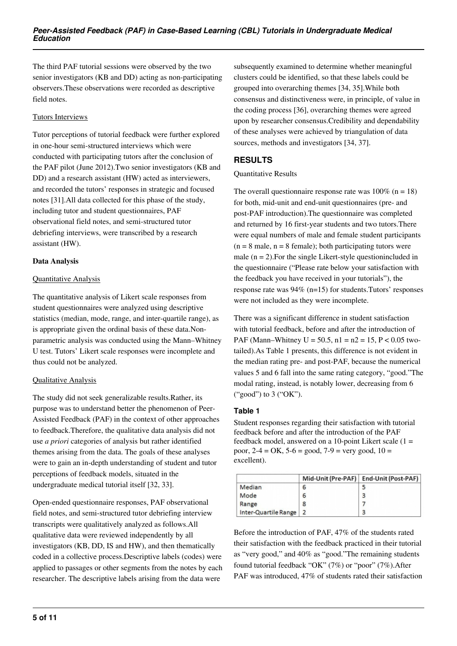The third PAF tutorial sessions were observed by the two senior investigators (KB and DD) acting as non-participating observers.These observations were recorded as descriptive field notes.

#### Tutors Interviews

Tutor perceptions of tutorial feedback were further explored in one-hour semi-structured interviews which were conducted with participating tutors after the conclusion of the PAF pilot (June 2012).Two senior investigators (KB and DD) and a research assistant (HW) acted as interviewers, and recorded the tutors' responses in strategic and focused notes [31].All data collected for this phase of the study, including tutor and student questionnaires, PAF observational field notes, and semi-structured tutor debriefing interviews, were transcribed by a research assistant (HW).

## **Data Analysis**

#### Quantitative Analysis

The quantitative analysis of Likert scale responses from student questionnaires were analyzed using descriptive statistics (median, mode, range, and inter-quartile range), as is appropriate given the ordinal basis of these data.Nonparametric analysis was conducted using the Mann–Whitney U test. Tutors' Likert scale responses were incomplete and thus could not be analyzed.

## Qualitative Analysis

The study did not seek generalizable results.Rather, its purpose was to understand better the phenomenon of Peer-Assisted Feedback (PAF) in the context of other approaches to feedback.Therefore, the qualitative data analysis did not use *a priori* categories of analysis but rather identified themes arising from the data. The goals of these analyses were to gain an in-depth understanding of student and tutor perceptions of feedback models, situated in the undergraduate medical tutorial itself [32, 33].

Open-ended questionnaire responses, PAF observational field notes, and semi-structured tutor debriefing interview transcripts were qualitatively analyzed as follows.All qualitative data were reviewed independently by all investigators (KB, DD, IS and HW), and then thematically coded in a collective process.Descriptive labels (codes) were applied to passages or other segments from the notes by each researcher. The descriptive labels arising from the data were

subsequently examined to determine whether meaningful clusters could be identified, so that these labels could be grouped into overarching themes [34, 35].While both consensus and distinctiveness were, in principle, of value in the coding process [36], overarching themes were agreed upon by researcher consensus.Credibility and dependability of these analyses were achieved by triangulation of data sources, methods and investigators [34, 37].

## **RESULTS**

#### Quantitative Results

The overall questionnaire response rate was  $100\%$  (n = 18) for both, mid-unit and end-unit questionnaires (pre- and post-PAF introduction).The questionnaire was completed and returned by 16 first-year students and two tutors.There were equal numbers of male and female student participants  $(n = 8 \text{ male}, n = 8 \text{ female})$ ; both participating tutors were male  $(n = 2)$ . For the single Likert-style questionincluded in the questionnaire ("Please rate below your satisfaction with the feedback you have received in your tutorials"), the response rate was 94% (n=15) for students.Tutors' responses were not included as they were incomplete.

There was a significant difference in student satisfaction with tutorial feedback, before and after the introduction of PAF (Mann–Whitney  $U = 50.5$ ,  $n1 = n2 = 15$ ,  $P < 0.05$  twotailed).As Table 1 presents, this difference is not evident in the median rating pre- and post-PAF, because the numerical values 5 and 6 fall into the same rating category, "good."The modal rating, instead, is notably lower, decreasing from 6 ("good") to 3 ("OK").

## **Table 1**

Student responses regarding their satisfaction with tutorial feedback before and after the introduction of the PAF feedback model, answered on a 10-point Likert scale  $(1 =$ poor,  $2-4 = OK$ ,  $5-6 = good$ ,  $7-9 = very good$ ,  $10 =$ excellent).

|                      | Mid-Unit (Pre-PAF) | End-Unit (Post-PAF) |
|----------------------|--------------------|---------------------|
| Median               | 6                  |                     |
| Mode                 | 6                  |                     |
| Range                |                    |                     |
| Inter-Quartile Range |                    |                     |

Before the introduction of PAF, 47% of the students rated their satisfaction with the feedback practiced in their tutorial as "very good," and 40% as "good."The remaining students found tutorial feedback "OK" (7%) or "poor" (7%).After PAF was introduced, 47% of students rated their satisfaction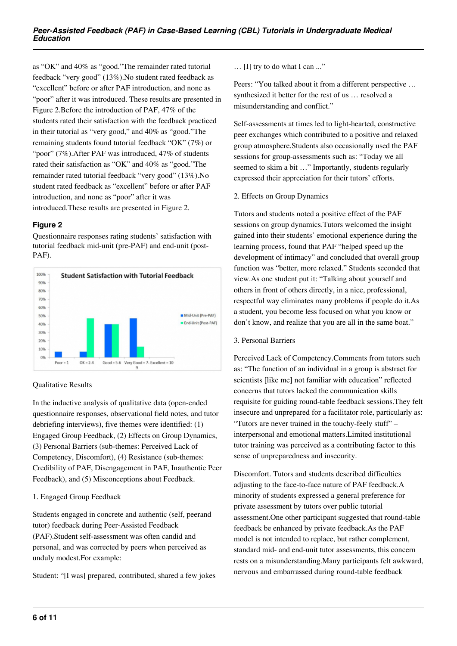as "OK" and 40% as "good."The remainder rated tutorial feedback "very good" (13%).No student rated feedback as "excellent" before or after PAF introduction, and none as "poor" after it was introduced. These results are presented in Figure 2.Before the introduction of PAF, 47% of the students rated their satisfaction with the feedback practiced in their tutorial as "very good," and 40% as "good."The remaining students found tutorial feedback "OK" (7%) or "poor" (7%).After PAF was introduced, 47% of students rated their satisfaction as "OK" and 40% as "good."The remainder rated tutorial feedback "very good" (13%).No student rated feedback as "excellent" before or after PAF introduction, and none as "poor" after it was introduced.These results are presented in Figure 2.

## **Figure 2**

Questionnaire responses rating students' satisfaction with tutorial feedback mid-unit (pre-PAF) and end-unit (post-PAF).



## Qualitative Results

In the inductive analysis of qualitative data (open-ended questionnaire responses, observational field notes, and tutor debriefing interviews), five themes were identified: (1) Engaged Group Feedback, (2) Effects on Group Dynamics, (3) Personal Barriers (sub-themes: Perceived Lack of Competency, Discomfort), (4) Resistance (sub-themes: Credibility of PAF, Disengagement in PAF, Inauthentic Peer Feedback), and (5) Misconceptions about Feedback.

## 1. Engaged Group Feedback

Students engaged in concrete and authentic (self, peerand tutor) feedback during Peer-Assisted Feedback (PAF).Student self-assessment was often candid and personal, and was corrected by peers when perceived as unduly modest.For example:

Student: "[I was] prepared, contributed, shared a few jokes

… [I] try to do what I can ..."

Peers: "You talked about it from a different perspective … synthesized it better for the rest of us … resolved a misunderstanding and conflict."

Self-assessments at times led to light-hearted, constructive peer exchanges which contributed to a positive and relaxed group atmosphere.Students also occasionally used the PAF sessions for group-assessments such as: "Today we all seemed to skim a bit …" Importantly, students regularly expressed their appreciation for their tutors' efforts.

#### 2. Effects on Group Dynamics

Tutors and students noted a positive effect of the PAF sessions on group dynamics.Tutors welcomed the insight gained into their students' emotional experience during the learning process, found that PAF "helped speed up the development of intimacy" and concluded that overall group function was "better, more relaxed." Students seconded that view.As one student put it: "Talking about yourself and others in front of others directly, in a nice, professional, respectful way eliminates many problems if people do it.As a student, you become less focused on what you know or don't know, and realize that you are all in the same boat."

## 3. Personal Barriers

Perceived Lack of Competency.Comments from tutors such as: "The function of an individual in a group is abstract for scientists [like me] not familiar with education" reflected concerns that tutors lacked the communication skills requisite for guiding round-table feedback sessions.They felt insecure and unprepared for a facilitator role, particularly as: "Tutors are never trained in the touchy-feely stuff" – interpersonal and emotional matters.Limited institutional tutor training was perceived as a contributing factor to this sense of unpreparedness and insecurity.

Discomfort. Tutors and students described difficulties adjusting to the face-to-face nature of PAF feedback.A minority of students expressed a general preference for private assessment by tutors over public tutorial assessment.One other participant suggested that round-table feedback be enhanced by private feedback.As the PAF model is not intended to replace, but rather complement, standard mid- and end-unit tutor assessments, this concern rests on a misunderstanding.Many participants felt awkward, nervous and embarrassed during round-table feedback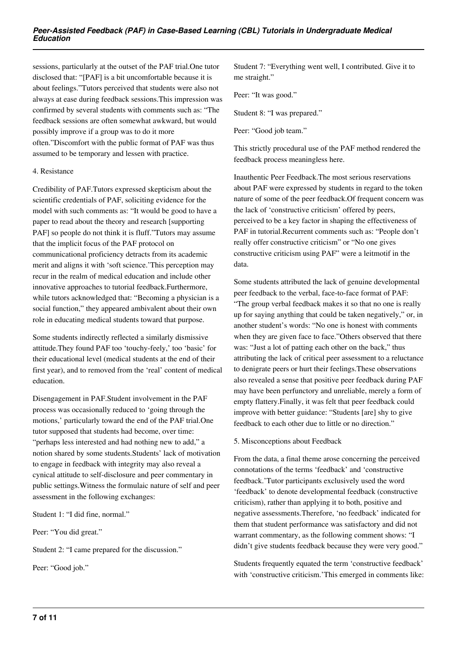sessions, particularly at the outset of the PAF trial.One tutor disclosed that: "[PAF] is a bit uncomfortable because it is about feelings."Tutors perceived that students were also not always at ease during feedback sessions.This impression was confirmed by several students with comments such as: "The feedback sessions are often somewhat awkward, but would possibly improve if a group was to do it more often."Discomfort with the public format of PAF was thus assumed to be temporary and lessen with practice.

#### 4. Resistance

Credibility of PAF.Tutors expressed skepticism about the scientific credentials of PAF, soliciting evidence for the model with such comments as: "It would be good to have a paper to read about the theory and research [supporting PAF] so people do not think it is fluff."Tutors may assume that the implicit focus of the PAF protocol on communicational proficiency detracts from its academic merit and aligns it with 'soft science.'This perception may recur in the realm of medical education and include other innovative approaches to tutorial feedback.Furthermore, while tutors acknowledged that: "Becoming a physician is a social function," they appeared ambivalent about their own role in educating medical students toward that purpose.

Some students indirectly reflected a similarly dismissive attitude.They found PAF too 'touchy-feely,' too 'basic' for their educational level (medical students at the end of their first year), and to removed from the 'real' content of medical education.

Disengagement in PAF.Student involvement in the PAF process was occasionally reduced to 'going through the motions,' particularly toward the end of the PAF trial.One tutor supposed that students had become, over time: "perhaps less interested and had nothing new to add," a notion shared by some students.Students' lack of motivation to engage in feedback with integrity may also reveal a cynical attitude to self-disclosure and peer commentary in public settings.Witness the formulaic nature of self and peer assessment in the following exchanges:

Student 1: "I did fine, normal."

Peer: "You did great."

Student 2: "I came prepared for the discussion."

Peer: "Good job."

Student 7: "Everything went well, I contributed. Give it to me straight."

Peer: "It was good."

Student 8: "I was prepared."

Peer: "Good job team."

This strictly procedural use of the PAF method rendered the feedback process meaningless here.

Inauthentic Peer Feedback.The most serious reservations about PAF were expressed by students in regard to the token nature of some of the peer feedback.Of frequent concern was the lack of 'constructive criticism' offered by peers, perceived to be a key factor in shaping the effectiveness of PAF in tutorial.Recurrent comments such as: "People don't really offer constructive criticism" or "No one gives constructive criticism using PAF" were a leitmotif in the data.

Some students attributed the lack of genuine developmental peer feedback to the verbal, face-to-face format of PAF: "The group verbal feedback makes it so that no one is really up for saying anything that could be taken negatively," or, in another student's words: "No one is honest with comments when they are given face to face."Others observed that there was: "Just a lot of patting each other on the back," thus attributing the lack of critical peer assessment to a reluctance to denigrate peers or hurt their feelings.These observations also revealed a sense that positive peer feedback during PAF may have been perfunctory and unreliable, merely a form of empty flattery.Finally, it was felt that peer feedback could improve with better guidance: "Students [are] shy to give feedback to each other due to little or no direction."

#### 5. Misconceptions about Feedback

From the data, a final theme arose concerning the perceived connotations of the terms 'feedback' and 'constructive feedback.'Tutor participants exclusively used the word 'feedback' to denote developmental feedback (constructive criticism), rather than applying it to both, positive and negative assessments.Therefore, 'no feedback' indicated for them that student performance was satisfactory and did not warrant commentary, as the following comment shows: "I didn't give students feedback because they were very good."

Students frequently equated the term 'constructive feedback' with 'constructive criticism.'This emerged in comments like: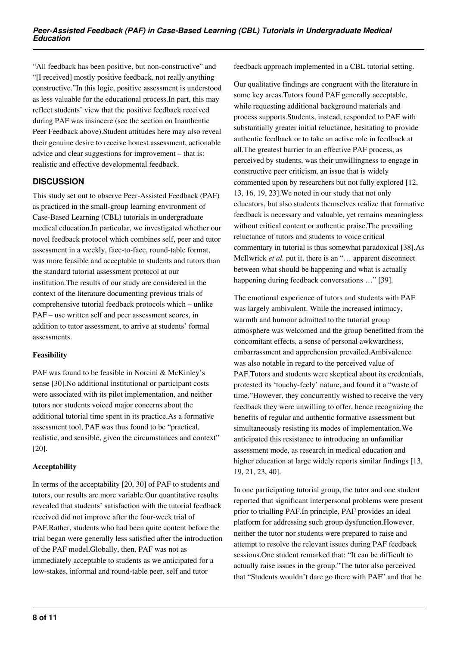"All feedback has been positive, but non-constructive" and "[I received] mostly positive feedback, not really anything constructive."In this logic, positive assessment is understood as less valuable for the educational process.In part, this may reflect students' view that the positive feedback received during PAF was insincere (see the section on Inauthentic Peer Feedback above).Student attitudes here may also reveal their genuine desire to receive honest assessment, actionable advice and clear suggestions for improvement – that is: realistic and effective developmental feedback.

# **DISCUSSION**

This study set out to observe Peer-Assisted Feedback (PAF) as practiced in the small-group learning environment of Case-Based Learning (CBL) tutorials in undergraduate medical education.In particular, we investigated whether our novel feedback protocol which combines self, peer and tutor assessment in a weekly, face-to-face, round-table format, was more feasible and acceptable to students and tutors than the standard tutorial assessment protocol at our institution.The results of our study are considered in the context of the literature documenting previous trials of comprehensive tutorial feedback protocols which – unlike PAF – use written self and peer assessment scores, in addition to tutor assessment, to arrive at students' formal assessments.

## **Feasibility**

PAF was found to be feasible in Norcini & McKinley's sense [30].No additional institutional or participant costs were associated with its pilot implementation, and neither tutors nor students voiced major concerns about the additional tutorial time spent in its practice.As a formative assessment tool, PAF was thus found to be "practical, realistic, and sensible, given the circumstances and context" [20].

# **Acceptability**

In terms of the acceptability [20, 30] of PAF to students and tutors, our results are more variable.Our quantitative results revealed that students' satisfaction with the tutorial feedback received did not improve after the four-week trial of PAF.Rather, students who had been quite content before the trial began were generally less satisfied after the introduction of the PAF model.Globally, then, PAF was not as immediately acceptable to students as we anticipated for a low-stakes, informal and round-table peer, self and tutor

feedback approach implemented in a CBL tutorial setting.

Our qualitative findings are congruent with the literature in some key areas.Tutors found PAF generally acceptable, while requesting additional background materials and process supports.Students, instead, responded to PAF with substantially greater initial reluctance, hesitating to provide authentic feedback or to take an active role in feedback at all.The greatest barrier to an effective PAF process, as perceived by students, was their unwillingness to engage in constructive peer criticism, an issue that is widely commented upon by researchers but not fully explored [12, 13, 16, 19, 23].We noted in our study that not only educators, but also students themselves realize that formative feedback is necessary and valuable, yet remains meaningless without critical content or authentic praise. The prevailing reluctance of tutors and students to voice critical commentary in tutorial is thus somewhat paradoxical [38].As McIlwrick *et al.* put it, there is an "… apparent disconnect between what should be happening and what is actually happening during feedback conversations ..." [39].

The emotional experience of tutors and students with PAF was largely ambivalent. While the increased intimacy, warmth and humour admitted to the tutorial group atmosphere was welcomed and the group benefitted from the concomitant effects, a sense of personal awkwardness, embarrassment and apprehension prevailed.Ambivalence was also notable in regard to the perceived value of PAF.Tutors and students were skeptical about its credentials, protested its 'touchy-feely' nature, and found it a "waste of time."However, they concurrently wished to receive the very feedback they were unwilling to offer, hence recognizing the benefits of regular and authentic formative assessment but simultaneously resisting its modes of implementation.We anticipated this resistance to introducing an unfamiliar assessment mode, as research in medical education and higher education at large widely reports similar findings [13, 19, 21, 23, 40].

In one participating tutorial group, the tutor and one student reported that significant interpersonal problems were present prior to trialling PAF.In principle, PAF provides an ideal platform for addressing such group dysfunction.However, neither the tutor nor students were prepared to raise and attempt to resolve the relevant issues during PAF feedback sessions.One student remarked that: "It can be difficult to actually raise issues in the group."The tutor also perceived that "Students wouldn't dare go there with PAF" and that he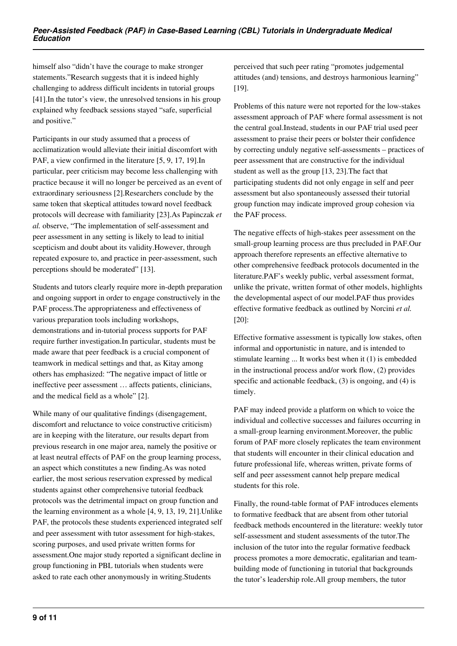himself also "didn't have the courage to make stronger statements."Research suggests that it is indeed highly challenging to address difficult incidents in tutorial groups [41].In the tutor's view, the unresolved tensions in his group explained why feedback sessions stayed "safe, superficial and positive."

Participants in our study assumed that a process of acclimatization would alleviate their initial discomfort with PAF, a view confirmed in the literature [5, 9, 17, 19].In particular, peer criticism may become less challenging with practice because it will no longer be perceived as an event of extraordinary seriousness [2].Researchers conclude by the same token that skeptical attitudes toward novel feedback protocols will decrease with familiarity [23].As Papinczak *et al.* observe, "The implementation of self-assessment and peer assessment in any setting is likely to lead to initial scepticism and doubt about its validity.However, through repeated exposure to, and practice in peer-assessment, such perceptions should be moderated" [13].

Students and tutors clearly require more in-depth preparation and ongoing support in order to engage constructively in the PAF process.The appropriateness and effectiveness of various preparation tools including workshops, demonstrations and in-tutorial process supports for PAF require further investigation.In particular, students must be made aware that peer feedback is a crucial component of teamwork in medical settings and that, as Kitay among others has emphasized: "The negative impact of little or ineffective peer assessment … affects patients, clinicians, and the medical field as a whole" [2].

While many of our qualitative findings (disengagement, discomfort and reluctance to voice constructive criticism) are in keeping with the literature, our results depart from previous research in one major area, namely the positive or at least neutral effects of PAF on the group learning process, an aspect which constitutes a new finding.As was noted earlier, the most serious reservation expressed by medical students against other comprehensive tutorial feedback protocols was the detrimental impact on group function and the learning environment as a whole [4, 9, 13, 19, 21].Unlike PAF, the protocols these students experienced integrated self and peer assessment with tutor assessment for high-stakes, scoring purposes, and used private written forms for assessment.One major study reported a significant decline in group functioning in PBL tutorials when students were asked to rate each other anonymously in writing.Students

perceived that such peer rating "promotes judgemental attitudes (and) tensions, and destroys harmonious learning" [19].

Problems of this nature were not reported for the low-stakes assessment approach of PAF where formal assessment is not the central goal.Instead, students in our PAF trial used peer assessment to praise their peers or bolster their confidence by correcting unduly negative self-assessments – practices of peer assessment that are constructive for the individual student as well as the group [13, 23].The fact that participating students did not only engage in self and peer assessment but also spontaneously assessed their tutorial group function may indicate improved group cohesion via the PAF process.

The negative effects of high-stakes peer assessment on the small-group learning process are thus precluded in PAF.Our approach therefore represents an effective alternative to other comprehensive feedback protocols documented in the literature.PAF's weekly public, verbal assessment format, unlike the private, written format of other models, highlights the developmental aspect of our model.PAF thus provides effective formative feedback as outlined by Norcini *et al.* [20]:

Effective formative assessment is typically low stakes, often informal and opportunistic in nature, and is intended to stimulate learning ... It works best when it (1) is embedded in the instructional process and/or work flow, (2) provides specific and actionable feedback, (3) is ongoing, and (4) is timely.

PAF may indeed provide a platform on which to voice the individual and collective successes and failures occurring in a small-group learning environment.Moreover, the public forum of PAF more closely replicates the team environment that students will encounter in their clinical education and future professional life, whereas written, private forms of self and peer assessment cannot help prepare medical students for this role.

Finally, the round-table format of PAF introduces elements to formative feedback that are absent from other tutorial feedback methods encountered in the literature: weekly tutor self-assessment and student assessments of the tutor.The inclusion of the tutor into the regular formative feedback process promotes a more democratic, egalitarian and teambuilding mode of functioning in tutorial that backgrounds the tutor's leadership role.All group members, the tutor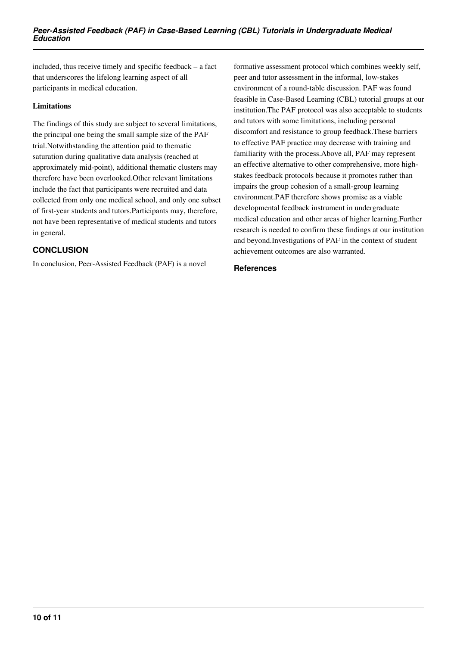included, thus receive timely and specific feedback – a fact that underscores the lifelong learning aspect of all participants in medical education.

#### **Limitations**

The findings of this study are subject to several limitations, the principal one being the small sample size of the PAF trial.Notwithstanding the attention paid to thematic saturation during qualitative data analysis (reached at approximately mid-point), additional thematic clusters may therefore have been overlooked.Other relevant limitations include the fact that participants were recruited and data collected from only one medical school, and only one subset of first-year students and tutors.Participants may, therefore, not have been representative of medical students and tutors in general.

# **CONCLUSION**

In conclusion, Peer-Assisted Feedback (PAF) is a novel

formative assessment protocol which combines weekly self, peer and tutor assessment in the informal, low-stakes environment of a round-table discussion. PAF was found feasible in Case-Based Learning (CBL) tutorial groups at our institution.The PAF protocol was also acceptable to students and tutors with some limitations, including personal discomfort and resistance to group feedback.These barriers to effective PAF practice may decrease with training and familiarity with the process.Above all, PAF may represent an effective alternative to other comprehensive, more highstakes feedback protocols because it promotes rather than impairs the group cohesion of a small-group learning environment.PAF therefore shows promise as a viable developmental feedback instrument in undergraduate medical education and other areas of higher learning.Further research is needed to confirm these findings at our institution and beyond.Investigations of PAF in the context of student achievement outcomes are also warranted.

#### **References**